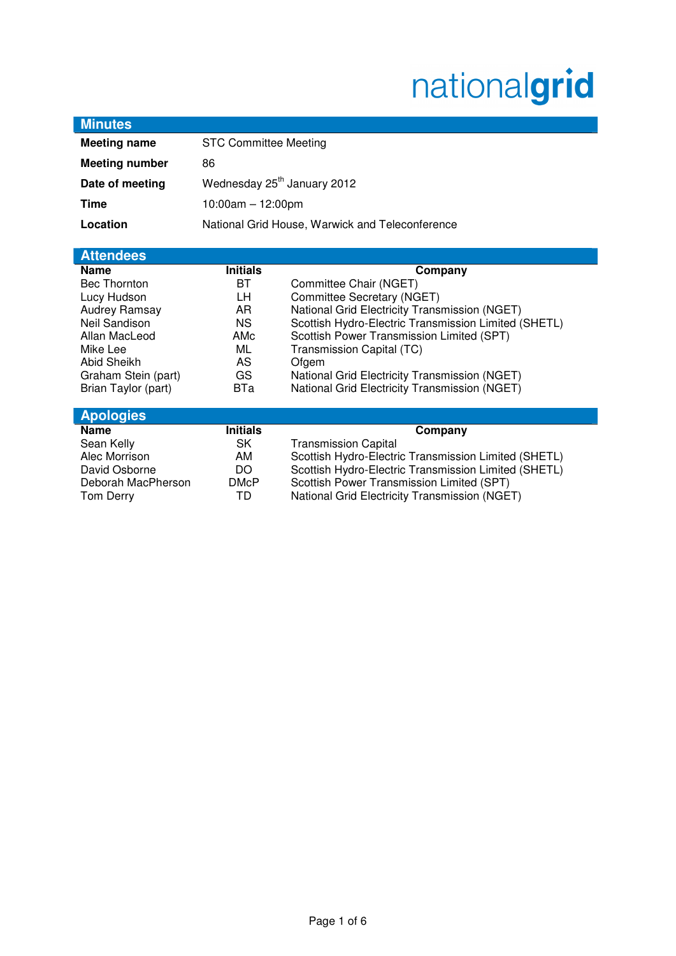# nationalgrid

| <b>Minutes</b>        |                                                 |                                                      |
|-----------------------|-------------------------------------------------|------------------------------------------------------|
| <b>Meeting name</b>   | <b>STC Committee Meeting</b>                    |                                                      |
| <b>Meeting number</b> | 86                                              |                                                      |
| Date of meeting       | Wednesday 25 <sup>th</sup> January 2012         |                                                      |
| <b>Time</b>           | $10:00am - 12:00pm$                             |                                                      |
| Location              | National Grid House, Warwick and Teleconference |                                                      |
|                       |                                                 |                                                      |
| <b>Attendees</b>      |                                                 |                                                      |
| <b>Name</b>           | <b>Initials</b>                                 | Company                                              |
| <b>Bec Thornton</b>   | BT.                                             | Committee Chair (NGET)                               |
| Lucy Hudson           | LН                                              | Committee Secretary (NGET)                           |
| Audrey Ramsay         | AR                                              | National Grid Electricity Transmission (NGET)        |
| Neil Sandison         | <b>NS</b>                                       | Scottish Hydro-Electric Transmission Limited (SHETL) |
| Allan MacLeod         | AMc                                             | Scottish Power Transmission Limited (SPT)            |
| Mike Lee              | ML                                              | Transmission Capital (TC)                            |
| Abid Sheikh           | AS                                              | Ofgem                                                |
| Graham Stein (part)   | GS                                              | National Grid Electricity Transmission (NGET)        |
| Brian Taylor (part)   | <b>BTa</b>                                      | National Grid Electricity Transmission (NGET)        |
| <b>Apologies</b>      |                                                 |                                                      |
| <b>Name</b>           | <b>Initials</b>                                 | Company                                              |
| Sean Kelly            | SK                                              | <b>Transmission Capital</b>                          |
| Alec Morrison         | AM                                              | Scottish Hydro-Electric Transmission Limited (SHETL) |
| David Osborne         | DO.                                             | Scottish Hydro-Electric Transmission Limited (SHETL) |
| Deborah MacPherson    | <b>DMcP</b>                                     | Scottish Power Transmission Limited (SPT)            |
| Tom Derry             | TD                                              | National Grid Electricity Transmission (NGET)        |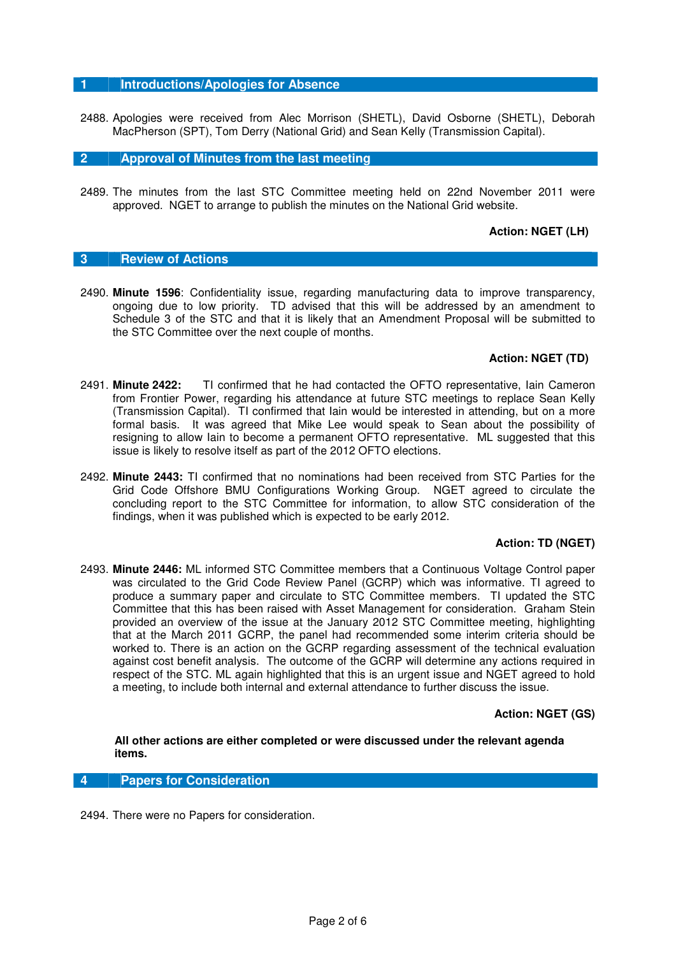### **1 Introductions/Apologies for Absence**

2488. Apologies were received from Alec Morrison (SHETL), David Osborne (SHETL), Deborah MacPherson (SPT), Tom Derry (National Grid) and Sean Kelly (Transmission Capital).

**2 Approval of Minutes from the last meeting** 

2489. The minutes from the last STC Committee meeting held on 22nd November 2011 were approved. NGET to arrange to publish the minutes on the National Grid website.

## **Action: NGET (LH)**

## **3 Review of Actions**

2490. **Minute 1596**: Confidentiality issue, regarding manufacturing data to improve transparency, ongoing due to low priority. TD advised that this will be addressed by an amendment to Schedule 3 of the STC and that it is likely that an Amendment Proposal will be submitted to the STC Committee over the next couple of months.

## **Action: NGET (TD)**

- 2491. **Minute 2422:** TI confirmed that he had contacted the OFTO representative, Iain Cameron from Frontier Power, regarding his attendance at future STC meetings to replace Sean Kelly (Transmission Capital). TI confirmed that Iain would be interested in attending, but on a more formal basis. It was agreed that Mike Lee would speak to Sean about the possibility of resigning to allow Iain to become a permanent OFTO representative. ML suggested that this issue is likely to resolve itself as part of the 2012 OFTO elections.
- 2492. **Minute 2443:** TI confirmed that no nominations had been received from STC Parties for the Grid Code Offshore BMU Configurations Working Group. NGET agreed to circulate the concluding report to the STC Committee for information, to allow STC consideration of the findings, when it was published which is expected to be early 2012.

## **Action: TD (NGET)**

2493. **Minute 2446:** ML informed STC Committee members that a Continuous Voltage Control paper was circulated to the Grid Code Review Panel (GCRP) which was informative. TI agreed to produce a summary paper and circulate to STC Committee members. TI updated the STC Committee that this has been raised with Asset Management for consideration. Graham Stein provided an overview of the issue at the January 2012 STC Committee meeting, highlighting that at the March 2011 GCRP, the panel had recommended some interim criteria should be worked to. There is an action on the GCRP regarding assessment of the technical evaluation against cost benefit analysis. The outcome of the GCRP will determine any actions required in respect of the STC. ML again highlighted that this is an urgent issue and NGET agreed to hold a meeting, to include both internal and external attendance to further discuss the issue.

## **Action: NGET (GS)**

**All other actions are either completed or were discussed under the relevant agenda items.**

#### **4 Papers for Consideration**

2494. There were no Papers for consideration.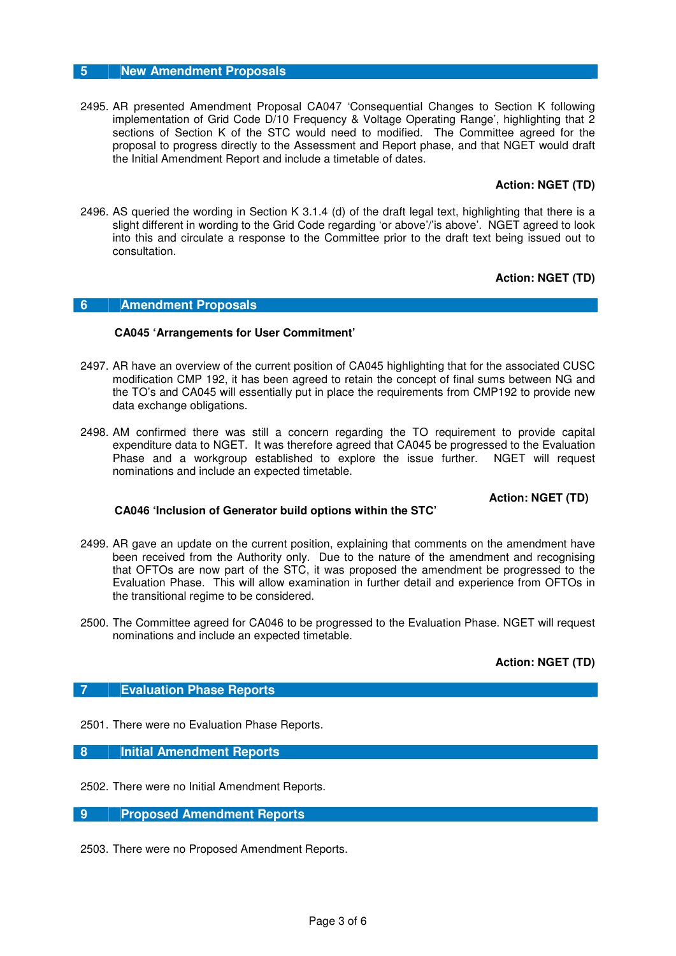## **5 New Amendment Proposals**

2495. AR presented Amendment Proposal CA047 'Consequential Changes to Section K following implementation of Grid Code D/10 Frequency & Voltage Operating Range', highlighting that 2 sections of Section K of the STC would need to modified. The Committee agreed for the proposal to progress directly to the Assessment and Report phase, and that NGET would draft the Initial Amendment Report and include a timetable of dates.

# **Action: NGET (TD)**

2496. AS queried the wording in Section K 3.1.4 (d) of the draft legal text, highlighting that there is a slight different in wording to the Grid Code regarding 'or above'/'is above'. NGET agreed to look into this and circulate a response to the Committee prior to the draft text being issued out to consultation.

# **Action: NGET (TD)**

# **6 Amendment Proposals**

## **CA045 'Arrangements for User Commitment'**

- 2497. AR have an overview of the current position of CA045 highlighting that for the associated CUSC modification CMP 192, it has been agreed to retain the concept of final sums between NG and the TO's and CA045 will essentially put in place the requirements from CMP192 to provide new data exchange obligations.
- 2498. AM confirmed there was still a concern regarding the TO requirement to provide capital expenditure data to NGET. It was therefore agreed that CA045 be progressed to the Evaluation Phase and a workgroup established to explore the issue further. NGET will request nominations and include an expected timetable.

# **Action: NGET (TD)**

## **CA046 'Inclusion of Generator build options within the STC'**

- 2499. AR gave an update on the current position, explaining that comments on the amendment have been received from the Authority only. Due to the nature of the amendment and recognising that OFTOs are now part of the STC, it was proposed the amendment be progressed to the Evaluation Phase. This will allow examination in further detail and experience from OFTOs in the transitional regime to be considered.
- 2500. The Committee agreed for CA046 to be progressed to the Evaluation Phase. NGET will request nominations and include an expected timetable.

## **Action: NGET (TD)**

## **7 Evaluation Phase Reports**

2501. There were no Evaluation Phase Reports.

**8 Initial Amendment Reports** 

2502. There were no Initial Amendment Reports.

**9 Proposed Amendment Reports** 

2503. There were no Proposed Amendment Reports.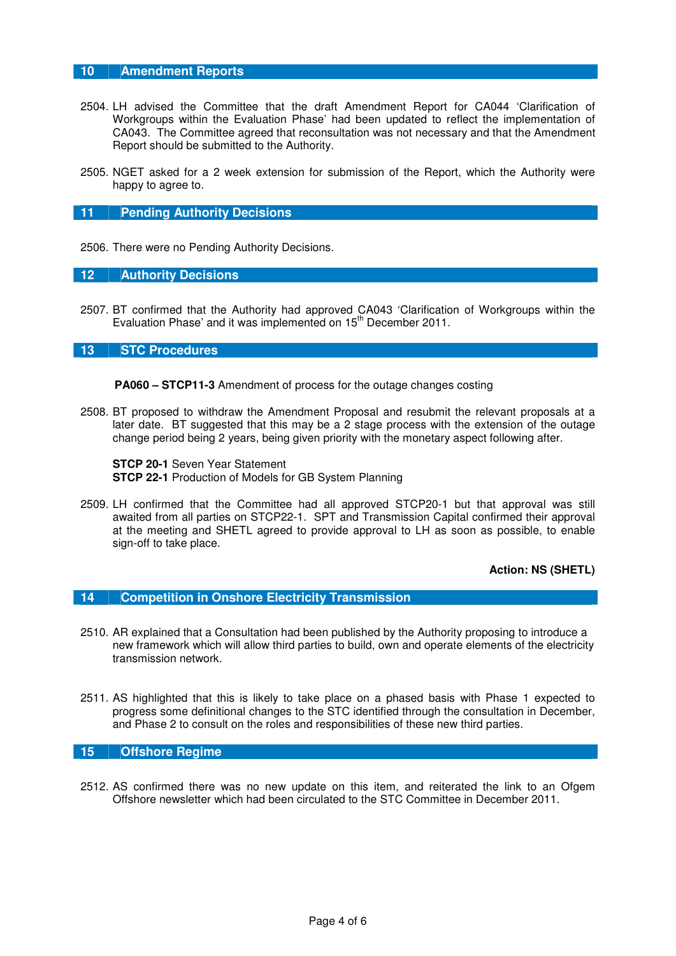## **10 Amendment Reports**

- 2504. LH advised the Committee that the draft Amendment Report for CA044 'Clarification of Workgroups within the Evaluation Phase' had been updated to reflect the implementation of CA043. The Committee agreed that reconsultation was not necessary and that the Amendment Report should be submitted to the Authority.
- 2505. NGET asked for a 2 week extension for submission of the Report, which the Authority were happy to agree to.

#### **11 Pending Authority Decisions**

2506. There were no Pending Authority Decisions.

#### **12 Authority Decisions**

2507. BT confirmed that the Authority had approved CA043 'Clarification of Workgroups within the Evaluation Phase' and it was implemented on  $15<sup>th</sup>$  December 2011.

#### **13 STC Procedures**

**PA060 – STCP11-3** Amendment of process for the outage changes costing

2508. BT proposed to withdraw the Amendment Proposal and resubmit the relevant proposals at a later date. BT suggested that this may be a 2 stage process with the extension of the outage change period being 2 years, being given priority with the monetary aspect following after.

**STCP 20-1** Seven Year Statement **STCP 22-1** Production of Models for GB System Planning

2509. LH confirmed that the Committee had all approved STCP20-1 but that approval was still awaited from all parties on STCP22-1. SPT and Transmission Capital confirmed their approval at the meeting and SHETL agreed to provide approval to LH as soon as possible, to enable sign-off to take place.

**Action: NS (SHETL)** 

#### **14 Competition in Onshore Electricity Transmission**

- 2510. AR explained that a Consultation had been published by the Authority proposing to introduce a new framework which will allow third parties to build, own and operate elements of the electricity transmission network.
- 2511. AS highlighted that this is likely to take place on a phased basis with Phase 1 expected to progress some definitional changes to the STC identified through the consultation in December, and Phase 2 to consult on the roles and responsibilities of these new third parties.

# **15 Offshore Regime**

2512. AS confirmed there was no new update on this item, and reiterated the link to an Ofgem Offshore newsletter which had been circulated to the STC Committee in December 2011.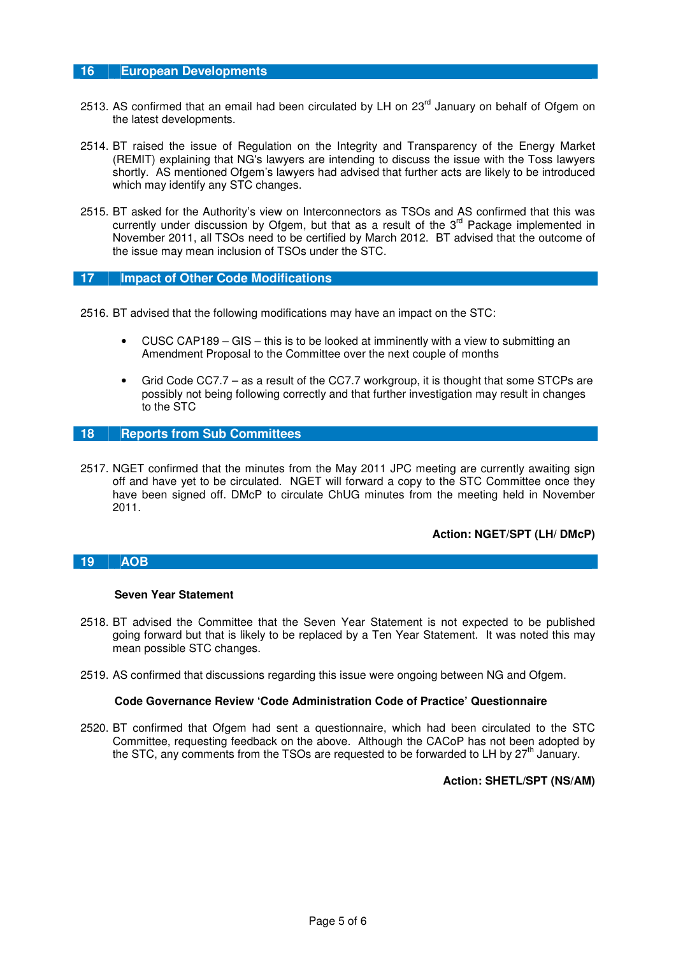## **16 European Developments**

- 2513. AS confirmed that an email had been circulated by LH on 23<sup>rd</sup> January on behalf of Ofgem on the latest developments.
- 2514. BT raised the issue of Regulation on the Integrity and Transparency of the Energy Market (REMIT) explaining that NG's lawyers are intending to discuss the issue with the Toss lawyers shortly. AS mentioned Ofgem's lawyers had advised that further acts are likely to be introduced which may identify any STC changes.
- 2515. BT asked for the Authority's view on Interconnectors as TSOs and AS confirmed that this was currently under discussion by Ofgem, but that as a result of the 3<sup>rd</sup> Package implemented in November 2011, all TSOs need to be certified by March 2012. BT advised that the outcome of the issue may mean inclusion of TSOs under the STC.

## **17 Impact of Other Code Modifications**

2516. BT advised that the following modifications may have an impact on the STC:

- CUSC CAP189 GIS this is to be looked at imminently with a view to submitting an Amendment Proposal to the Committee over the next couple of months
- Grid Code CC7.7 as a result of the CC7.7 workgroup, it is thought that some STCPs are possibly not being following correctly and that further investigation may result in changes to the STC

# **18 Reports from Sub Committees**

2517. NGET confirmed that the minutes from the May 2011 JPC meeting are currently awaiting sign off and have yet to be circulated. NGET will forward a copy to the STC Committee once they have been signed off. DMcP to circulate ChUG minutes from the meeting held in November 2011.

## **Action: NGET/SPT (LH/ DMcP)**

## **19 AOB**

#### **Seven Year Statement**

- 2518. BT advised the Committee that the Seven Year Statement is not expected to be published going forward but that is likely to be replaced by a Ten Year Statement. It was noted this may mean possible STC changes.
- 2519. AS confirmed that discussions regarding this issue were ongoing between NG and Ofgem.

## **Code Governance Review 'Code Administration Code of Practice' Questionnaire**

2520. BT confirmed that Ofgem had sent a questionnaire, which had been circulated to the STC Committee, requesting feedback on the above. Although the CACoP has not been adopted by the STC, any comments from the TSOs are requested to be forwarded to LH by  $27<sup>th</sup>$  January.

#### **Action: SHETL/SPT (NS/AM)**